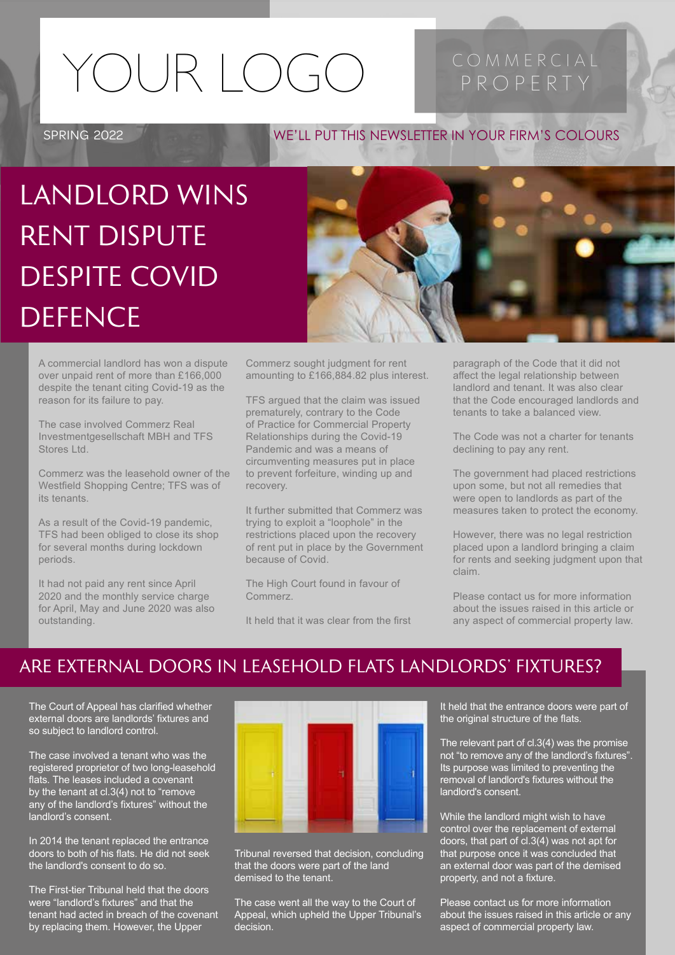# YOUR I OGO PROPERTY

SPRING 2022

### WE'LL PUT THIS NEWSLETTER IN YOUR FIRM'S COLOURS

LANDLORD WINS RENT DISPUTE DESPITE COVID **DEFENCE** 



A commercial landlord has won a dispute over unpaid rent of more than £166,000 despite the tenant citing Covid-19 as the reason for its failure to pay.

The case involved Commerz Real Investmentgesellschaft MBH and TFS Stores Ltd.

Commerz was the leasehold owner of the Westfield Shopping Centre; TFS was of its tenants.

As a result of the Covid-19 pandemic, TFS had been obliged to close its shop for several months during lockdown periods.

It had not paid any rent since April 2020 and the monthly service charge for April, May and June 2020 was also outstanding.

Commerz sought judgment for rent amounting to £166,884.82 plus interest.

TFS argued that the claim was issued prematurely, contrary to the Code of Practice for Commercial Property Relationships during the Covid-19 Pandemic and was a means of circumventing measures put in place to prevent forfeiture, winding up and recovery.

It further submitted that Commerz was trying to exploit a "loophole" in the restrictions placed upon the recovery of rent put in place by the Government because of Covid.

The High Court found in favour of Commerz.

It held that it was clear from the first

paragraph of the Code that it did not affect the legal relationship between landlord and tenant. It was also clear that the Code encouraged landlords and tenants to take a balanced view.

The Code was not a charter for tenants declining to pay any rent.

The government had placed restrictions upon some, but not all remedies that were open to landlords as part of the measures taken to protect the economy.

However, there was no legal restriction placed upon a landlord bringing a claim for rents and seeking judgment upon that claim.

Please contact us for more information about the issues raised in this article or any aspect of commercial property law.

### ARE EXTERNAL DOORS IN LEASEHOLD FLATS LANDLORDS' FIXTURES?

The Court of Appeal has clarified whether external doors are landlords' fixtures and so subject to landlord control.

The case involved a tenant who was the registered proprietor of two long-leasehold flats. The leases included a covenant by the tenant at cl.3(4) not to "remove any of the landlord's fixtures" without the landlord's consent.

In 2014 the tenant replaced the entrance doors to both of his flats. He did not seek the landlord's consent to do so.

The First-tier Tribunal held that the doors were "landlord's fixtures" and that the tenant had acted in breach of the covenant by replacing them. However, the Upper



Tribunal reversed that decision, concluding that the doors were part of the land demised to the tenant.

The case went all the way to the Court of Appeal, which upheld the Upper Tribunal's decision.

It held that the entrance doors were part of the original structure of the flats.

The relevant part of cl.3(4) was the promise not "to remove any of the landlord's fixtures". Its purpose was limited to preventing the removal of landlord's fixtures without the landlord's consent.

While the landlord might wish to have control over the replacement of external doors, that part of cl.3(4) was not apt for that purpose once it was concluded that an external door was part of the demised property, and not a fixture.

Please contact us for more information about the issues raised in this article or any aspect of commercial property law.